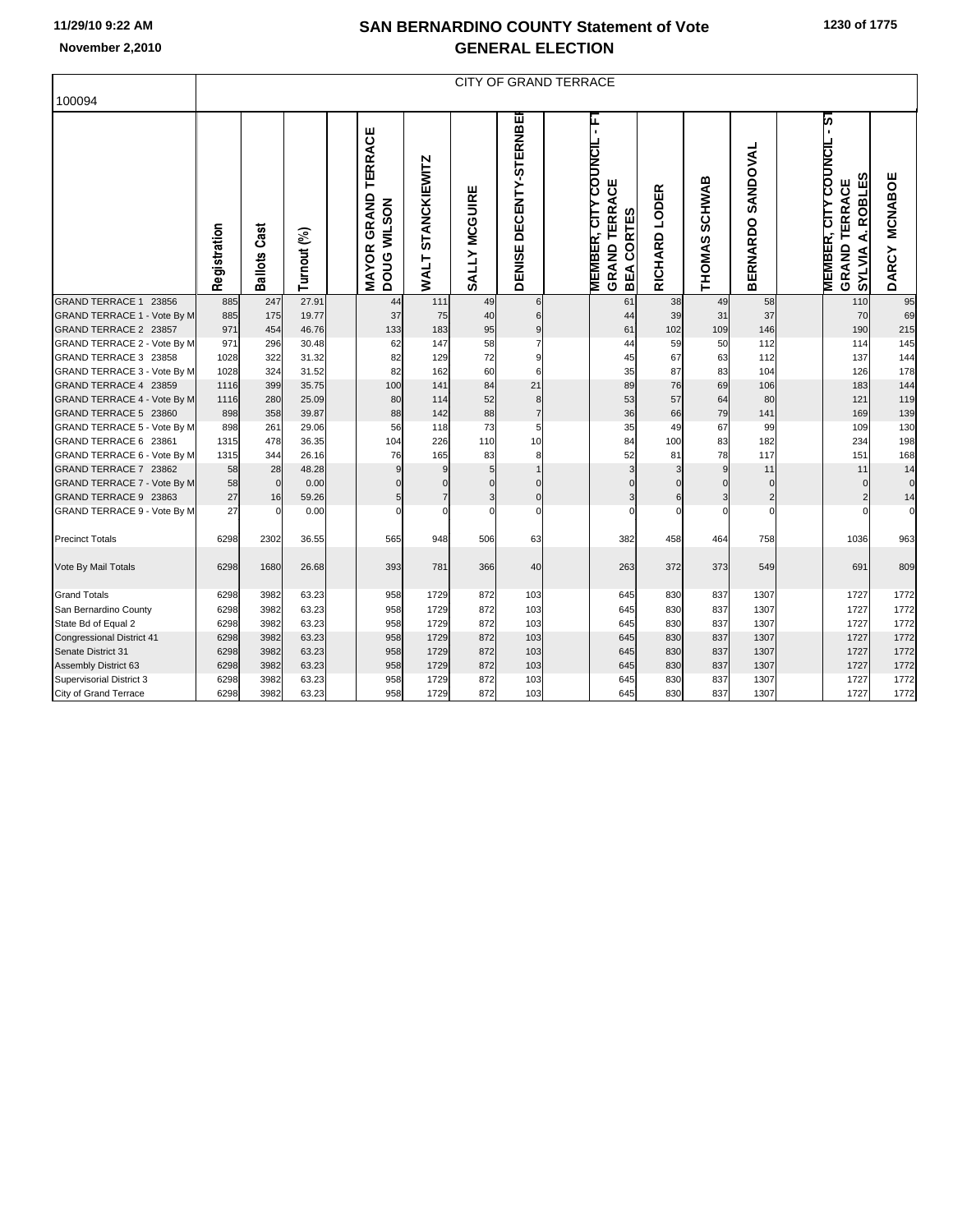## **SAN BERNARDINO COUNTY Statement of Vote November 2,2010 GENERAL ELECTION**

|                                                      |              | <b>CITY OF GRAND TERRACE</b> |                |  |                                              |                                    |               |                            |  |                                                                                        |                  |               |                             |  |                                                                                                      |                                |
|------------------------------------------------------|--------------|------------------------------|----------------|--|----------------------------------------------|------------------------------------|---------------|----------------------------|--|----------------------------------------------------------------------------------------|------------------|---------------|-----------------------------|--|------------------------------------------------------------------------------------------------------|--------------------------------|
| 100094                                               |              |                              |                |  |                                              |                                    |               |                            |  |                                                                                        |                  |               |                             |  |                                                                                                      |                                |
|                                                      | Registration | Cast<br><b>Ballots</b>       | Turnout (%)    |  | TERRACE<br><b>MAYOR GRAND</b><br>DOUG WILSON | <b>STANCKIEWITZ</b><br><b>WALT</b> | SALLY MCGUIRE | DECENTY-STERNBEI<br>DENISE |  | ۴<br><b>COUNCIL</b><br>Ψ<br><b>GRAND TERRA</b><br><b>MEMBER, CITY</b><br>CORTES<br>BEA | LODER<br>RICHARD | THOMAS SCHWAB | SANDOVAL<br><b>BERNARDO</b> |  | is-<br>COUNCIL<br><b>ROBLES</b><br>ξ<br><b>TERRA</b><br><b>MEMBER, CITY</b><br>نج<br>GRAND<br>SYLVIA | <b>MCNABOE</b><br><b>DARCY</b> |
| GRAND TERRACE 1 23856                                | 885          | 247                          | 27.91          |  | 44                                           | 111                                | 49            | 6                          |  | 61                                                                                     | 38               | 49            | 58                          |  | 110                                                                                                  | 95                             |
| GRAND TERRACE 1 - Vote By M                          | 885          | 175                          | 19.77          |  | 37                                           | 75                                 | 40            | 6                          |  | 44                                                                                     | 39               | 31            | 37                          |  | 70                                                                                                   | 69                             |
| GRAND TERRACE 2 23857                                | 971          | 454                          | 46.76          |  | 133                                          | 183                                | 95            | $\boldsymbol{9}$           |  | 61                                                                                     | 102              | 109           | 146                         |  | 190                                                                                                  | 215                            |
| GRAND TERRACE 2 - Vote By M                          | 971          | 296                          | 30.48          |  | 62                                           | 147                                | 58            | $\overline{7}$             |  | 44                                                                                     | 59               | 50            | 112                         |  | 114                                                                                                  | 145                            |
| GRAND TERRACE 3 23858                                | 1028         | 322                          | 31.32          |  | 82                                           | 129                                | 72            | 9                          |  | 45                                                                                     | 67               | 63            | 112                         |  | 137                                                                                                  | 144                            |
| GRAND TERRACE 3 - Vote By M<br>GRAND TERRACE 4 23859 | 1028         | 324                          | 31.52          |  | 82                                           | 162                                | 60            | 6                          |  | 35                                                                                     | 87               | 83            | 104                         |  | 126                                                                                                  | 178                            |
| GRAND TERRACE 4 - Vote By M                          | 1116<br>1116 | 399<br>280                   | 35.75<br>25.09 |  | 100<br>80                                    | 141<br>114                         | 84<br>52      | 21<br>8                    |  | 89<br>53                                                                               | 76<br>57         | 69<br>64      | 106<br>80                   |  | 183<br>121                                                                                           | 144<br>119                     |
| GRAND TERRACE 5 23860                                | 898          | 358                          | 39.87          |  | 88                                           | 142                                | 88            | $\overline{7}$             |  | 36                                                                                     | 66               | 79            | 141                         |  | 169                                                                                                  | 139                            |
| GRAND TERRACE 5 - Vote By M                          | 898          | 261                          | 29.06          |  | 56                                           | 118                                | 73            | 5                          |  | 35                                                                                     | 49               | 67            | 99                          |  | 109                                                                                                  | 130                            |
| GRAND TERRACE 6 23861                                | 1315         | 478                          | 36.35          |  | 104                                          | 226                                | 110           | 10                         |  | 84                                                                                     | 100              | 83            | 182                         |  | 234                                                                                                  | 198                            |
| GRAND TERRACE 6 - Vote By M                          | 1315         | 344                          | 26.16          |  | 76                                           | 165                                | 83            | 8                          |  | 52                                                                                     | 81               | 78            | 117                         |  | 151                                                                                                  | 168                            |
| GRAND TERRACE 7 23862                                | 58           | 28                           | 48.28          |  | 9                                            | 9                                  | 5             | $\overline{1}$             |  | 3                                                                                      | 3                | 9             | 11                          |  | 11                                                                                                   | 14                             |
| GRAND TERRACE 7 - Vote By M                          | 58           | $\mathbf 0$                  | 0.00           |  | $\Omega$                                     | $\Omega$                           | $\Omega$      | $\Omega$                   |  |                                                                                        | $\Omega$         | $\Omega$      | $\Omega$                    |  | $\mathbf 0$                                                                                          | $\mathbf 0$                    |
| GRAND TERRACE 9 23863                                | 27           | 16                           | 59.26          |  | 5                                            | $\overline{7}$                     | 3             | $\mathbf 0$                |  | 3                                                                                      | 6                | 3             | $\overline{c}$              |  | $\overline{2}$                                                                                       | 14                             |
| GRAND TERRACE 9 - Vote By M                          | 27           | $\Omega$                     | 0.00           |  | $\Omega$                                     | $\Omega$                           | $\Omega$      | $\Omega$                   |  | $\Omega$                                                                               | $\Omega$         | $\Omega$      | $\Omega$                    |  | $\Omega$                                                                                             | $\mathbf 0$                    |
| <b>Precinct Totals</b>                               | 6298         | 2302                         | 36.55          |  | 565                                          | 948                                | 506           | 63                         |  | 382                                                                                    | 458              | 464           | 758                         |  | 1036                                                                                                 | 963                            |
| Vote By Mail Totals                                  | 6298         | 1680                         | 26.68          |  | 393                                          | 781                                | 366           | 40                         |  | 263                                                                                    | 372              | 373           | 549                         |  | 691                                                                                                  | 809                            |
| <b>Grand Totals</b>                                  | 6298         | 3982                         | 63.23          |  | 958                                          | 1729                               | 872           | 103                        |  | 645                                                                                    | 830              | 837           | 1307                        |  | 1727                                                                                                 | 1772                           |
| San Bernardino County                                | 6298         | 3982                         | 63.23          |  | 958                                          | 1729                               | 872           | 103                        |  | 645                                                                                    | 830              | 837           | 1307                        |  | 1727                                                                                                 | 1772                           |
| State Bd of Equal 2                                  | 6298         | 3982                         | 63.23          |  | 958                                          | 1729                               | 872           | 103                        |  | 645                                                                                    | 830              | 837           | 1307                        |  | 1727                                                                                                 | 1772                           |
| <b>Congressional District 41</b>                     | 6298         | 3982                         | 63.23          |  | 958                                          | 1729                               | 872           | 103                        |  | 645                                                                                    | 830              | 837           | 1307                        |  | 1727                                                                                                 | 1772                           |
| Senate District 31                                   | 6298         | 3982                         | 63.23          |  | 958                                          | 1729                               | 872           | 103                        |  | 645                                                                                    | 830              | 837           | 1307                        |  | 1727                                                                                                 | 1772                           |
| Assembly District 63                                 | 6298         | 3982                         | 63.23          |  | 958                                          | 1729                               | 872           | 103                        |  | 645                                                                                    | 830              | 837           | 1307                        |  | 1727                                                                                                 | 1772                           |
| Supervisorial District 3                             | 6298         | 3982                         | 63.23          |  | 958                                          | 1729                               | 872           | 103                        |  | 645                                                                                    | 830              | 837           | 1307                        |  | 1727                                                                                                 | 1772                           |
| City of Grand Terrace                                | 6298         | 3982                         | 63.23          |  | 958                                          | 1729                               | 872           | 103                        |  | 645                                                                                    | 830              | 837           | 1307                        |  | 1727                                                                                                 | 1772                           |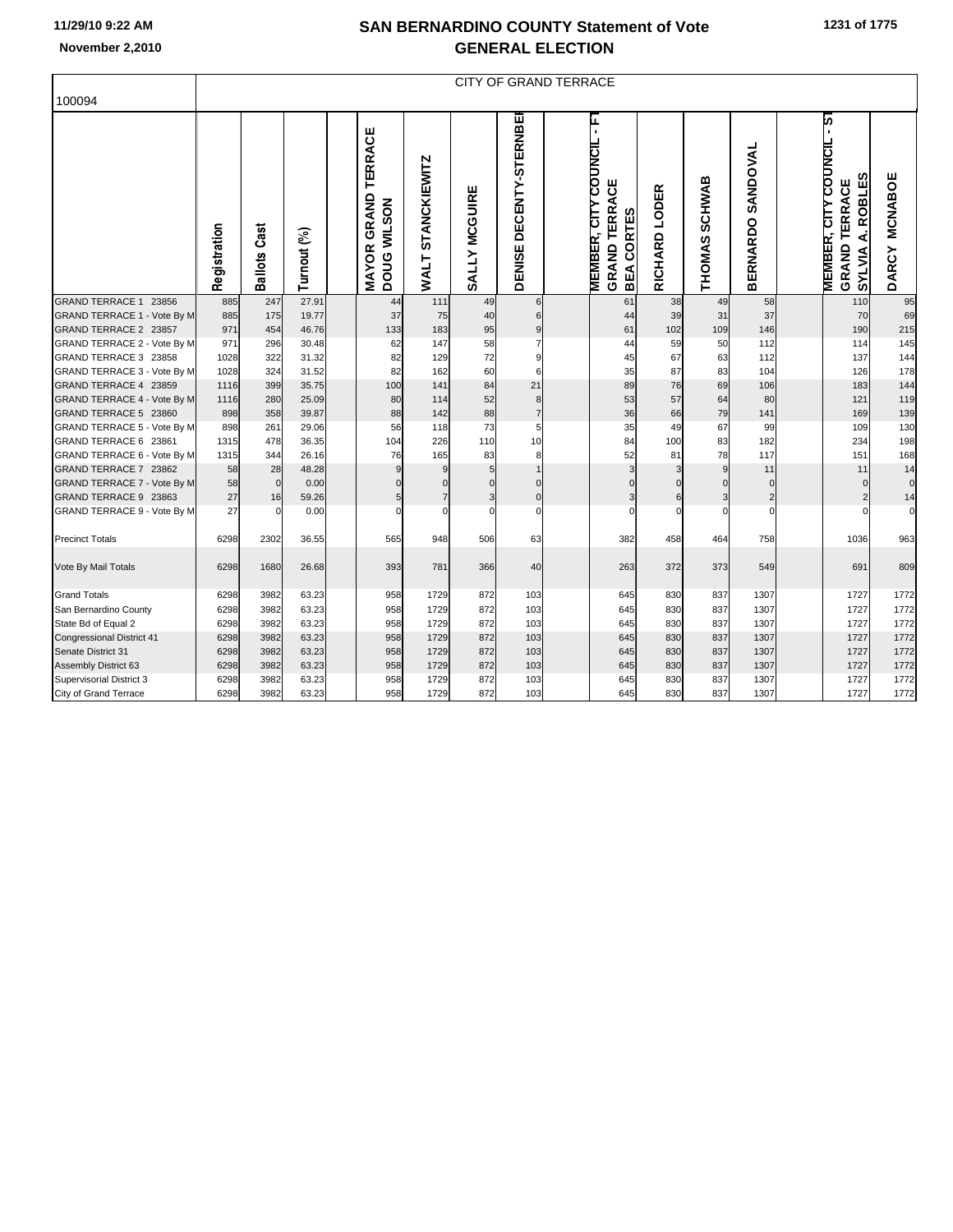## **SAN BERNARDINO COUNTY Statement of Vote November 2,2010 GENERAL ELECTION**

|                                    |              | <b>CITY OF GRAND TERRACE</b> |             |  |                                                     |                                    |               |                            |  |                                                                           |                  |                                |                             |  |                                                                                                   |                         |
|------------------------------------|--------------|------------------------------|-------------|--|-----------------------------------------------------|------------------------------------|---------------|----------------------------|--|---------------------------------------------------------------------------|------------------|--------------------------------|-----------------------------|--|---------------------------------------------------------------------------------------------------|-------------------------|
| 100094                             |              |                              |             |  |                                                     |                                    |               |                            |  |                                                                           |                  |                                |                             |  |                                                                                                   |                         |
|                                    | Registration | <b>Ballots Cast</b>          | Turnout (%) |  | <b>TERRACE</b><br><b>MAYOR GRAND</b><br>DOUG WILSON | <b>STANCKIEWITZ</b><br><b>WALT</b> | SALLY MCGUIRE | DECENTY-STERNBEI<br>DENISE |  | ۲<br><b>MEMBER, CITY COUNCIL</b><br><b>GRAND TERRACE</b><br>CORTES<br>BEA | LODER<br>RICHARD | <b>SCHWAB</b><br><b>THOMAS</b> | SANDOVAL<br><b>BERNARDO</b> |  | is-<br>COUNCIL<br><b>ROBLES</b><br><b>TERRACE</b><br><b>MEMBER, CITY</b><br>نج<br>GRAND<br>SYLVIA | <b>MCNABOE</b><br>DARCY |
| <b>GRAND TERRACE 1</b><br>23856    | 885          | 247                          | 27.91       |  | 44                                                  | 111                                | 49            | 6                          |  | 61                                                                        | 38               | 49                             | 58                          |  | 110                                                                                               | 95                      |
| GRAND TERRACE 1 - Vote By M        | 885          | 175                          | 19.77       |  | 37                                                  | 75                                 | 40            | 6                          |  | 44                                                                        | 39               | 31                             | 37                          |  | 70                                                                                                | 69                      |
| GRAND TERRACE 2 23857              | 971          | 454                          | 46.76       |  | 133                                                 | 183                                | 95            | $\boldsymbol{9}$           |  | 61                                                                        | 102              | 109                            | 146                         |  | 190                                                                                               | 215                     |
| GRAND TERRACE 2 - Vote By M        | 971          | 296                          | 30.48       |  | 62                                                  | 147                                | 58            | $\overline{7}$             |  | 44                                                                        | 59               | 50                             | 112                         |  | 114                                                                                               | 145                     |
| GRAND TERRACE 3 23858              | 1028         | 322                          | 31.32       |  | 82                                                  | 129                                | 72            | 9                          |  | 45                                                                        | 67               | 63                             | 112                         |  | 137                                                                                               | 144                     |
| GRAND TERRACE 3 - Vote By M        | 1028         | 324                          | 31.52       |  | 82                                                  | 162                                | 60            | 6                          |  | 35                                                                        | 87               | 83                             | 104                         |  | 126                                                                                               | 178                     |
| GRAND TERRACE 4 23859              | 1116         | 399                          | 35.75       |  | 100                                                 | 141                                | 84            | 21                         |  | 89                                                                        | 76               | 69                             | 106                         |  | 183                                                                                               | 144                     |
| <b>GRAND TERRACE 4 - Vote By M</b> | 1116         | 280                          | 25.09       |  | 80                                                  | 114                                | 52            | 8                          |  | 53                                                                        | 57               | 64                             | 80                          |  | 121                                                                                               | 119                     |
| GRAND TERRACE 5 23860              | 898          | 358                          | 39.87       |  | 88                                                  | 142                                | 88            | $\overline{7}$             |  | 36                                                                        | 66               | 79                             | 141                         |  | 169                                                                                               | 139                     |
| GRAND TERRACE 5 - Vote By M        | 898          | 261                          | 29.06       |  | 56                                                  | 118                                | 73            | 5                          |  | 35                                                                        | 49               | 67                             | 99                          |  | 109                                                                                               | 130                     |
| GRAND TERRACE 6 23861              | 1315         | 478                          | 36.35       |  | 104                                                 | 226                                | 110           | 10                         |  | 84                                                                        | 100              | 83                             | 182                         |  | 234                                                                                               | 198                     |
| GRAND TERRACE 6 - Vote By M        | 1315         | 344                          | 26.16       |  | 76                                                  | 165                                | 83            | 8                          |  | 52                                                                        | 81               | 78                             | 117                         |  | 151                                                                                               | 168                     |
| GRAND TERRACE 7 23862              | 58           | 28                           | 48.28       |  | 9                                                   | 9                                  | 5             | $\mathbf{1}$               |  | 3                                                                         | 3                | 9                              | 11                          |  | 11                                                                                                | 14                      |
| <b>GRAND TERRACE 7 - Vote By M</b> | 58           | $\mathbf 0$                  | 0.00        |  | $\mathbf 0$                                         | $\overline{0}$<br>$\overline{7}$   | $\mathsf{C}$  | $\Omega$                   |  | $\Omega$                                                                  | $\Omega$         | $\mathbf 0$                    | $\mathbf{0}$                |  | $\mathbf 0$                                                                                       | $\mathbf 0$             |
| GRAND TERRACE 9 23863              | 27           | 16                           | 59.26       |  | 5                                                   | $\Omega$                           | 3             | $\mathbf 0$                |  | 3<br>$\Omega$                                                             | 6<br>$\Omega$    | $\overline{3}$<br>$\Omega$     | $\overline{c}$<br>$\Omega$  |  | $\overline{2}$                                                                                    | 14<br>$\mathbf 0$       |
| GRAND TERRACE 9 - Vote By M        | 27           | $\mathcal{C}$                | 0.00        |  | $\mathbf 0$                                         |                                    | $\mathsf{C}$  | $\mathbf 0$                |  |                                                                           |                  |                                |                             |  | $\Omega$                                                                                          |                         |
| <b>Precinct Totals</b>             | 6298         | 2302                         | 36.55       |  | 565                                                 | 948                                | 506           | 63                         |  | 382                                                                       | 458              | 464                            | 758                         |  | 1036                                                                                              | 963                     |
| Vote By Mail Totals                | 6298         | 1680                         | 26.68       |  | 393                                                 | 781                                | 366           | 40                         |  | 263                                                                       | 372              | 373                            | 549                         |  | 691                                                                                               | 809                     |
| <b>Grand Totals</b>                | 6298         | 3982                         | 63.23       |  | 958                                                 | 1729                               | 872           | 103                        |  | 645                                                                       | 830              | 837                            | 1307                        |  | 1727                                                                                              | 1772                    |
| San Bernardino County              | 6298         | 3982                         | 63.23       |  | 958                                                 | 1729                               | 872           | 103                        |  | 645                                                                       | 830              | 837                            | 1307                        |  | 1727                                                                                              | 1772                    |
| State Bd of Equal 2                | 6298         | 3982                         | 63.23       |  | 958                                                 | 1729                               | 872           | 103                        |  | 645                                                                       | 830              | 837                            | 1307                        |  | 1727                                                                                              | 1772                    |
| <b>Congressional District 41</b>   | 6298         | 3982                         | 63.23       |  | 958                                                 | 1729                               | 872           | 103                        |  | 645                                                                       | 830              | 837                            | 1307                        |  | 1727                                                                                              | 1772                    |
| Senate District 31                 | 6298         | 3982                         | 63.23       |  | 958                                                 | 1729                               | 872           | 103                        |  | 645                                                                       | 830              | 837                            | 1307                        |  | 1727                                                                                              | 1772                    |
| Assembly District 63               | 6298         | 3982                         | 63.23       |  | 958                                                 | 1729                               | 872           | 103                        |  | 645                                                                       | 830              | 837                            | 1307                        |  | 1727                                                                                              | 1772                    |
| Supervisorial District 3           | 6298         | 3982                         | 63.23       |  | 958                                                 | 1729                               | 872           | 103                        |  | 645                                                                       | 830              | 837                            | 1307                        |  | 1727                                                                                              | 1772                    |
| City of Grand Terrace              | 6298         | 3982                         | 63.23       |  | 958                                                 | 1729                               | 872           | 103                        |  | 645                                                                       | 830              | 837                            | 1307                        |  | 1727                                                                                              | 1772                    |